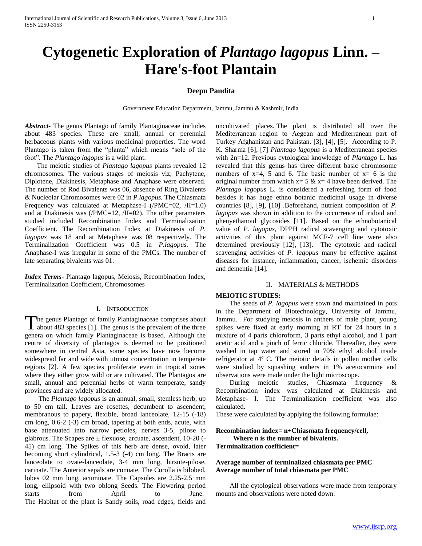# **Cytogenetic Exploration of** *Plantago lagopus* **Linn. – Hare's-foot Plantain**

# **Deepu Pandita**

Government Education Department, Jammu, Jammu & Kashmir, India

*Abstract***-** The genus Plantago of family Plantaginaceae includes about 483 species. These are small, annual or perennial herbaceous plants with various medicinal properties. The word Plantago is taken from the "planta" which means "sole of the foot". The *Plantago lagopus* is a wild plant.

 The meiotic studies of *Plantago lagopus* plants revealed 12 chromosomes. The various stages of meiosis viz; Pachytene, Diplotene, Diakinesis, Metaphase and Anaphase were observed. The number of Rod Bivalents was 06, absence of Ring Bivalents & Nucleolar Chromosomes were 02 in *P.lagopus.* The Chiasmata Frequency was calculated at Metaphase-I (/PMC=02, /II=1.0) and at Diakinesis was (/PMC=12, /II=02). The other parameters studied included Recombination Index and Terminalization Coefficient. The Recombination Index at Diakinesis of *P. lagopus* was 18 and at Metaphase was 08 respectively. The Terminalization Coefficient was 0.5 in *P.lagopus.* The Anaphase-I was irregular in some of the PMCs. The number of late separating bivalents was 01.

*Index Terms*- Plantago lagopus, Meiosis, Recombination Index, Terminalization Coefficient, Chromosomes

#### I. INTRODUCTION

he genus Plantago of family Plantaginaceae comprises about The genus Plantago of family Plantaginaceae comprises about about 483 species [1]. The genus is the prevalent of the three genera on which family Plantaginaceae is based. Although the centre of diversity of plantagos is deemed to be positioned somewhere in central Asia, some species have now become widespread far and wide with utmost concentration in temperate regions [2]. A few species proliferate even in tropical zones where they either grow wild or are cultivated. The Plantagos are small, annual and perennial herbs of warm temperate, sandy provinces and are widely allocated.

 The *Plantago lagopus* is an annual, small, stemless herb, up to 50 cm tall. Leaves are rosettes, decumbent to ascendent, membranous to papery, flexible, broad lanceolate, 12-15 (-18) cm long, 0.6-2 (-3) cm broad, tapering at both ends, acute, with base attenuated into narrow petioles, nerves 3-5, pilose to glabrous. The Scapes are  $\pm$  flexuose, arcuate, ascendent, 10-20 (-45) cm long. The Spikes of this herb are dense, ovoid, later becoming short cylindrical, 1.5-3 (-4) cm long. The Bracts are lanceolate to ovate-lanceolate, 3-4 mm long, hirsute-pilose, carinate. The Anterior sepals are connate. The Corolla is bilobed, lobes 02 mm long, acuminate. The Capsules are 2.25-2.5 mm long, ellipsoid with two oblong Seeds. The Flowering period starts from April to June. The Habitat of the plant is Sandy soils, road edges, fields and

uncultivated places. The plant is distributed all over the Mediterranean region to Aegean and Mediterranean part of Turkey Afghanistan and Pakistan. [3], [4], [5]. According to P. K. Sharma [6], [7] *Plantago lagopus* is a Mediterranean species with 2n=12. Previous cytological knowledge of *Plantago* L. has revealed that this genus has three different basic chromosome numbers of  $x=4$ , 5 and 6. The basic number of  $x=6$  is the original number from which  $x=5$  &  $x=4$  have been derived. The *Plantago lagopus* L. is considered a refreshing form of food besides it has huge ethno botanic medicinal usage in diverse countries [8], [9], [10] .Beforehand, nutrient composition of *P. lagopus* was shown in addition to the occurrence of iridoid and phenyethanoid glycosides [11]. Based on the ethnobotanical value of *P. lagopus*, DPPH radical scavenging and cytotoxic activities of this plant against MCF-7 cell line were also determined previously [12], [13]. The cytotoxic and radical scavenging activities of *P. lagopus* many be effective against diseases for instance, inflammation, cancer, ischemic disorders and dementia [14].

# II. MATERIALS & METHODS

### **MEIOTIC STUDIES:**

 The seeds of *P. lagopus* were sown and maintained in pots in the Department of Biotechnology, University of Jammu, Jammu. For studying meiosis in anthers of male plant, young spikes were fixed at early morning at RT for 24 hours in a mixture of 4 parts chloroform, 3 parts ethyl alcohol, and 1 part acetic acid and a pinch of ferric chloride. Thereafter, they were washed in tap water and stored in 70% ethyl alcohol inside refrigerator at 4º C. The meiotic details in pollen mother cells were studied by squashing anthers in 1% acetocarmine and observations were made under the light microscope.

 During meiotic studies, Chiasmata frequency & Recombination index was calculated at Diakinesis and Metaphase- I. The Terminalization coefficient was also calculated.

These were calculated by applying the following formulae:

## **Recombination index= n+Chiasmata frequency/cell, Where n is the number of bivalents. Terminalization coefficient=**

# **Average number of terminalized chiasmata per PMC Average number of total chiasmata per PMC**

 All the cytological observations were made from temporary mounts and observations were noted down.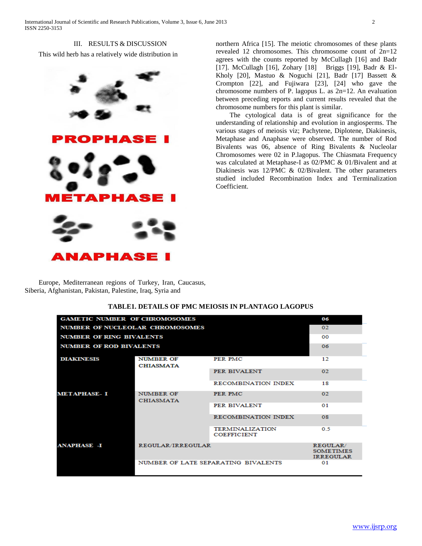III. RESULTS & DISCUSSION This wild herb has a relatively wide distribution in



northern Africa [15]. The meiotic chromosomes of these plants revealed 12 chromosomes. This chromosome count of 2n=12 agrees with the counts reported by McCullagh [16] and Badr [17]. McCullagh [16], Zohary [18] Briggs [19], Badr & El-Kholy [20], Mastuo & Noguchi [21], Badr [17] Bassett & Crompton [22], and Fujiwara [23], [24] who gave the chromosome numbers of P. lagopus L. as 2n=12. An evaluation between preceding reports and current results revealed that the chromosome numbers for this plant is similar.

 The cytological data is of great significance for the understanding of relationship and evolution in angiosperms. The various stages of meiosis viz; Pachytene, Diplotene, Diakinesis, Metaphase and Anaphase were observed. The number of Rod Bivalents was 06, absence of Ring Bivalents & Nucleolar Chromosomes were 02 in P.lagopus. The Chiasmata Frequency was calculated at Metaphase-I as 02/PMC & 01/Bivalent and at Diakinesis was 12/PMC & 02/Bivalent. The other parameters studied included Recombination Index and Terminalization Coefficient.

 Europe, Mediterranean regions of Turkey, Iran, Caucasus, Siberia, Afghanistan, Pakistan, Palestine, Iraq, Syria and

| <b>GAMETIC NUMBER OF CHROMOSOMES</b> |                                      |                                              | 06                                               |
|--------------------------------------|--------------------------------------|----------------------------------------------|--------------------------------------------------|
| NUMBER OF NUCLEOLAR CHROMOSOMES      |                                      |                                              | 02                                               |
| <b>NUMBER OF RING BIVALENTS</b>      |                                      |                                              | 00                                               |
| <b>NUMBER OF ROD BIVALENTS</b>       |                                      |                                              | 06                                               |
| <b>DIAKINESIS</b>                    | <b>NUMBER OF</b><br><b>CHIASMATA</b> | PER PMC                                      | 12                                               |
|                                      |                                      | PER BIVALENT                                 | 02                                               |
|                                      |                                      | <b>RECOMBINATION INDEX</b>                   | 18                                               |
| <b>METAPHASE-I</b>                   | NUMBER OF<br><b>CHIASMATA</b>        | PER PMC                                      | 02.                                              |
|                                      |                                      | PER BIVALENT                                 | 01                                               |
|                                      |                                      | RECOMBINATION INDEX                          | 08                                               |
|                                      |                                      | <b>TERMINALIZATION</b><br><b>COEFFICIENT</b> | 0 <sub>5</sub>                                   |
| <b>ANAPHASE -I</b>                   | REGULAR/IRREGULAR                    |                                              | REGULAR/<br><b>SOMETIMES</b><br><b>IRREGULAR</b> |
|                                      | NUMBER OF LATE SEPARATING BIVALENTS  |                                              | 01                                               |

# **TABLE1. DETAILS OF PMC MEIOSIS IN PLANTAGO LAGOPUS**